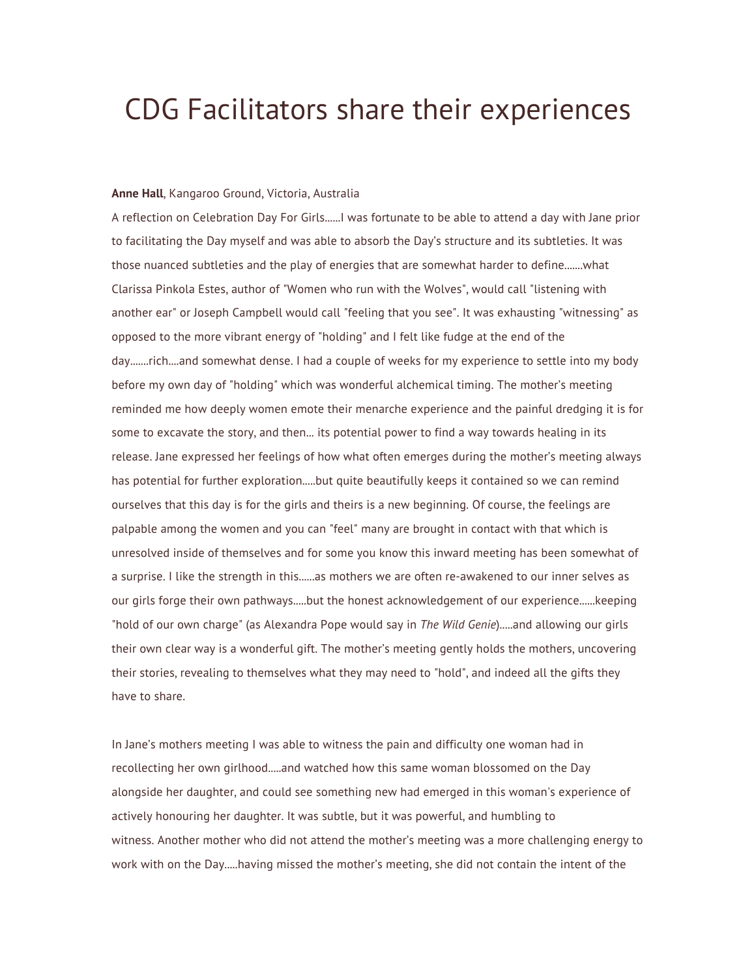# CDG Facilitators share their experiences

# **Anne Hall**, Kangaroo Ground, Victoria, Australia

A reflection on Celebration Day For Girls......I was fortunate to be able to attend a day with Jane prior to facilitating the Day myself and was able to absorb the Day's structure and its subtleties. It was those nuanced subtleties and the play of energies that are somewhat harder to define.......what Clarissa Pinkola Estes, author of "Women who run with the Wolves", would call "listening with another ear" or Joseph Campbell would call "feeling that you see". It was exhausting "witnessing" as opposed to the more vibrant energy of "holding" and I felt like fudge at the end of the day.......rich....and somewhat dense. I had a couple of weeks for my experience to settle into my body before my own day of "holding" which was wonderful alchemical timing. The mother's meeting reminded me how deeply women emote their menarche experience and the painful dredging it is for some to excavate the story, and then... its potential power to find a way towards healing in its release. Jane expressed her feelings of how what often emerges during the mother's meeting always has potential for further exploration.....but quite beautifully keeps it contained so we can remind ourselves that this day is for the girls and theirs is a new beginning. Of course, the feelings are palpable among the women and you can "feel" many are brought in contact with that which is unresolved inside of themselves and for some you know this inward meeting has been somewhat of a surprise. I like the strength in this......as mothers we are often re-awakened to our inner selves as our girls forge their own pathways.....but the honest acknowledgement of our experience......keeping "hold of our own charge" (as Alexandra Pope would say in *The Wild Genie*).....and allowing our girls their own clear way is a wonderful gift. The mother's meeting gently holds the mothers, uncovering their stories, revealing to themselves what they may need to "hold", and indeed all the gifts they have to share.

In Jane's mothers meeting I was able to witness the pain and difficulty one woman had in recollecting her own girlhood.....and watched how this same woman blossomed on the Day alongside her daughter, and could see something new had emerged in this woman's experience of actively honouring her daughter. It was subtle, but it was powerful, and humbling to witness. Another mother who did not attend the mother's meeting was a more challenging energy to work with on the Day.....having missed the mother's meeting, she did not contain the intent of the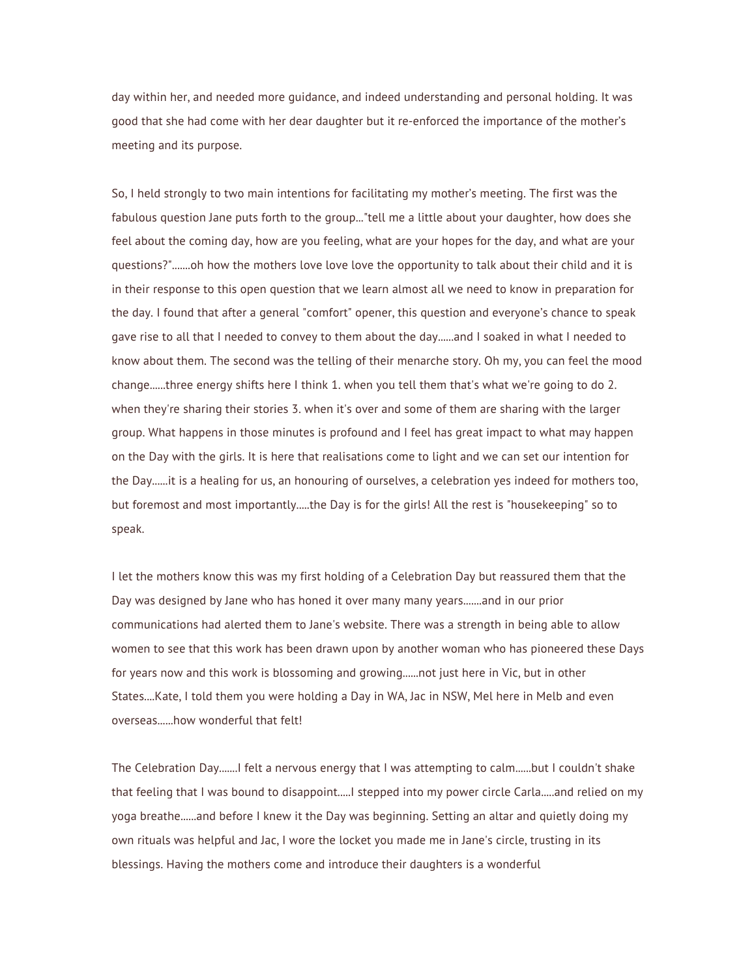day within her, and needed more guidance, and indeed understanding and personal holding. It was good that she had come with her dear daughter but it re-enforced the importance of the mother's meeting and its purpose.

So, I held strongly to two main intentions for facilitating my mother's meeting. The first was the fabulous question Jane puts forth to the group..."tell me a little about your daughter, how does she feel about the coming day, how are you feeling, what are your hopes for the day, and what are your questions?".......oh how the mothers love love love the opportunity to talk about their child and it is in their response to this open question that we learn almost all we need to know in preparation for the day. I found that after a general "comfort" opener, this question and everyone's chance to speak gave rise to all that I needed to convey to them about the day......and I soaked in what I needed to know about them. The second was the telling of their menarche story. Oh my, you can feel the mood change......three energy shifts here I think 1. when you tell them that's what we're going to do 2. when they're sharing their stories 3. when it's over and some of them are sharing with the larger group. What happens in those minutes is profound and I feel has great impact to what may happen on the Day with the girls. It is here that realisations come to light and we can set our intention for the Day......it is a healing for us, an honouring of ourselves, a celebration yes indeed for mothers too, but foremost and most importantly.....the Day is for the girls! All the rest is "housekeeping" so to speak.

I let the mothers know this was my first holding of a Celebration Day but reassured them that the Day was designed by Jane who has honed it over many many years.......and in our prior communications had alerted them to Jane's website. There was a strength in being able to allow women to see that this work has been drawn upon by another woman who has pioneered these Days for years now and this work is blossoming and growing......not just here in Vic, but in other States....Kate, I told them you were holding a Day in WA, Jac in NSW, Mel here in Melb and even overseas......how wonderful that felt!

The Celebration Day.......I felt a nervous energy that I was attempting to calm......but I couldn't shake that feeling that I was bound to disappoint.....I stepped into my power circle Carla.....and relied on my yoga breathe......and before I knew it the Day was beginning. Setting an altar and quietly doing my own rituals was helpful and Jac, I wore the locket you made me in Jane's circle, trusting in its blessings. Having the mothers come and introduce their daughters is a wonderful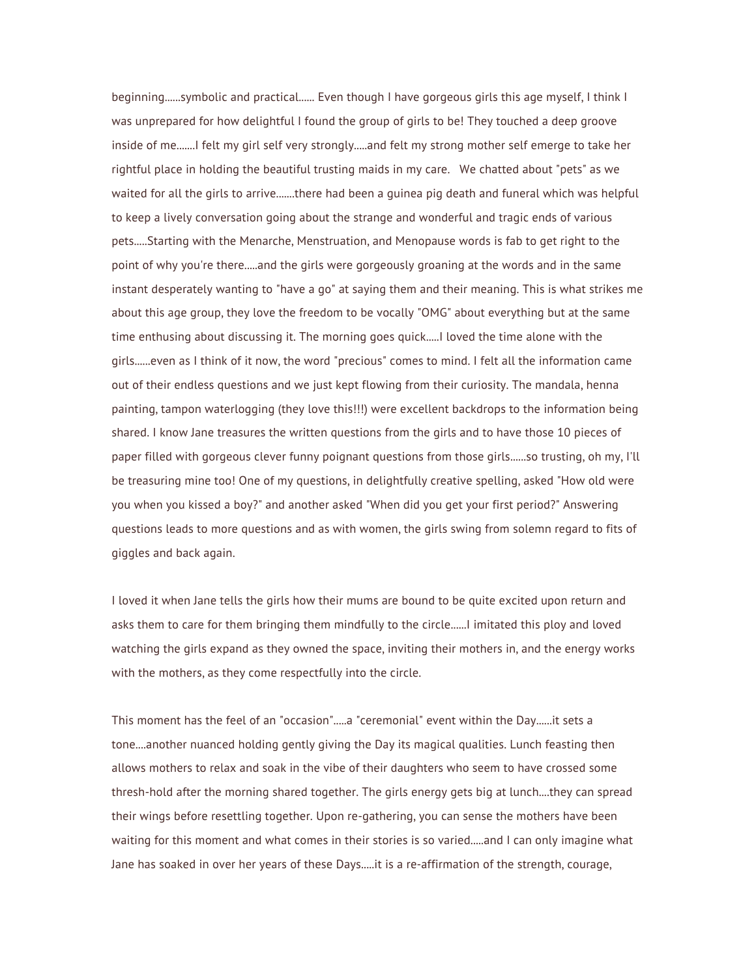beginning......symbolic and practical...... Even though I have gorgeous girls this age myself, I think I was unprepared for how delightful I found the group of girls to be! They touched a deep groove inside of me.......I felt my girl self very strongly.....and felt my strong mother self emerge to take her rightful place in holding the beautiful trusting maids in my care. We chatted about "pets" as we waited for all the girls to arrive.......there had been a guinea pig death and funeral which was helpful to keep a lively conversation going about the strange and wonderful and tragic ends of various pets.....Starting with the Menarche, Menstruation, and Menopause words is fab to get right to the point of why you're there.....and the girls were gorgeously groaning at the words and in the same instant desperately wanting to "have a go" at saying them and their meaning. This is what strikes me about this age group, they love the freedom to be vocally "OMG" about everything but at the same time enthusing about discussing it. The morning goes quick.....I loved the time alone with the girls......even as I think of it now, the word "precious" comes to mind. I felt all the information came out of their endless questions and we just kept flowing from their curiosity. The mandala, henna painting, tampon waterlogging (they love this!!!) were excellent backdrops to the information being shared. I know Jane treasures the written questions from the girls and to have those 10 pieces of paper filled with gorgeous clever funny poignant questions from those girls......so trusting, oh my, I'll be treasuring mine too! One of my questions, in delightfully creative spelling, asked "How old were you when you kissed a boy?" and another asked "When did you get your first period?" Answering questions leads to more questions and as with women, the girls swing from solemn regard to fits of giggles and back again.

I loved it when Jane tells the girls how their mums are bound to be quite excited upon return and asks them to care for them bringing them mindfully to the circle......I imitated this ploy and loved watching the girls expand as they owned the space, inviting their mothers in, and the energy works with the mothers, as they come respectfully into the circle.

This moment has the feel of an "occasion".....a "ceremonial" event within the Day......it sets a tone....another nuanced holding gently giving the Day its magical qualities. Lunch feasting then allows mothers to relax and soak in the vibe of their daughters who seem to have crossed some thresh-hold after the morning shared together. The girls energy gets big at lunch....they can spread their wings before resettling together. Upon re-gathering, you can sense the mothers have been waiting for this moment and what comes in their stories is so varied.....and I can only imagine what Jane has soaked in over her years of these Days.....it is a re-affirmation of the strength, courage,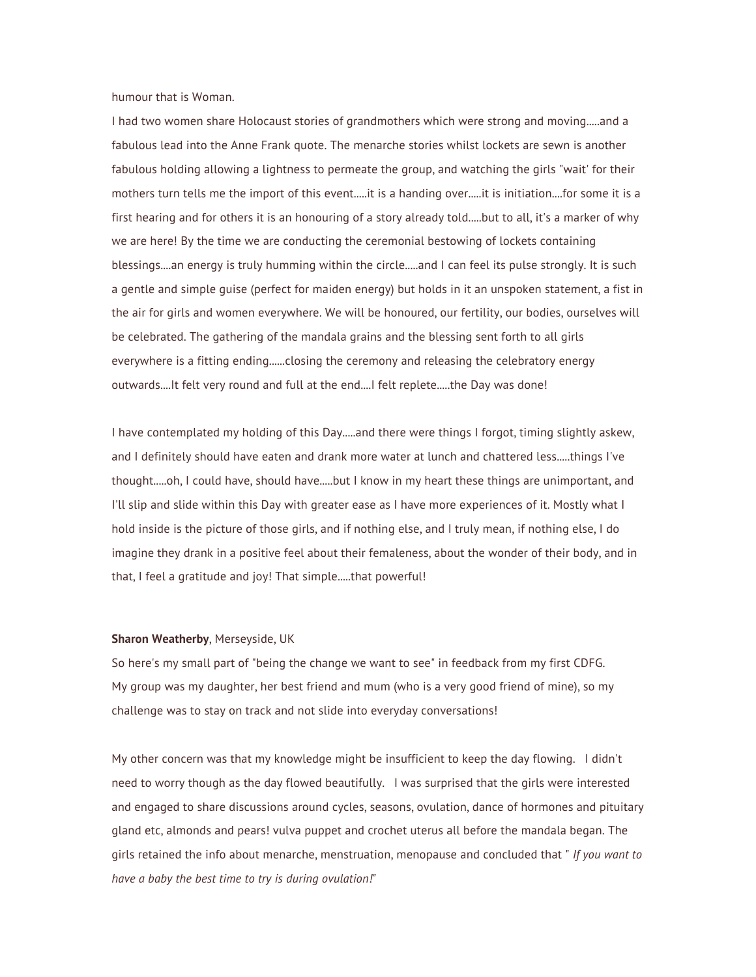humour that is Woman.

I had two women share Holocaust stories of grandmothers which were strong and moving.....and a fabulous lead into the Anne Frank quote. The menarche stories whilst lockets are sewn is another fabulous holding allowing a lightness to permeate the group, and watching the girls "wait' for their mothers turn tells me the import of this event.....it is a handing over.....it is initiation....for some it is a first hearing and for others it is an honouring of a story already told.....but to all, it's a marker of why we are here! By the time we are conducting the ceremonial bestowing of lockets containing blessings....an energy is truly humming within the circle.....and I can feel its pulse strongly. It is such a gentle and simple guise (perfect for maiden energy) but holds in it an unspoken statement, a fist in the air for girls and women everywhere. We will be honoured, our fertility, our bodies, ourselves will be celebrated. The gathering of the mandala grains and the blessing sent forth to all girls everywhere is a fitting ending......closing the ceremony and releasing the celebratory energy outwards....It felt very round and full at the end....I felt replete.....the Day was done!

I have contemplated my holding of this Day.....and there were things I forgot, timing slightly askew, and I definitely should have eaten and drank more water at lunch and chattered less.....things I've thought.....oh, I could have, should have.....but I know in my heart these things are unimportant, and I'll slip and slide within this Day with greater ease as I have more experiences of it. Mostly what I hold inside is the picture of those girls, and if nothing else, and I truly mean, if nothing else, I do imagine they drank in a positive feel about their femaleness, about the wonder of their body, and in that, I feel a gratitude and joy! That simple.....that powerful!

## **Sharon Weatherby**, Merseyside, UK

So here's my small part of "being the change we want to see" in feedback from my first CDFG. My group was my daughter, her best friend and mum (who is a very good friend of mine), so my challenge was to stay on track and not slide into everyday conversations!

My other concern was that my knowledge might be insufficient to keep the day flowing. I didn't need to worry though as the day flowed beautifully. I was surprised that the girls were interested and engaged to share discussions around cycles, seasons, ovulation, dance of hormones and pituitary gland etc, almonds and pears! vulva puppet and crochet uterus all before the mandala began. The girls retained the info about menarche, menstruation, menopause and concluded that " *If you want to have a baby the best time to try is during ovulation!"*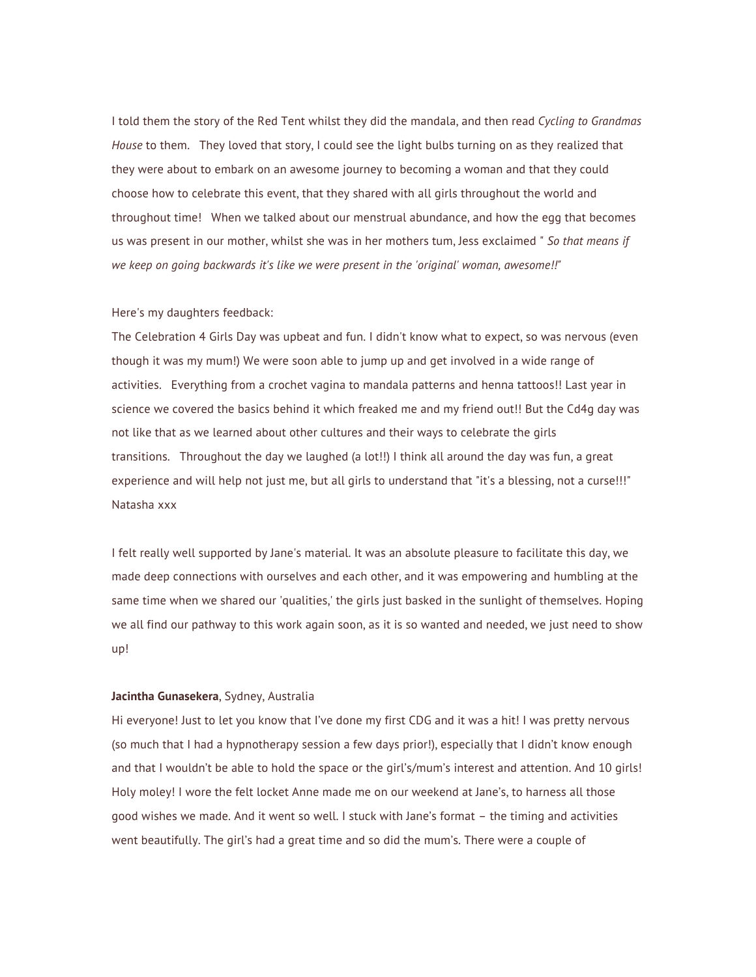I told them the story of the Red Tent whilst they did the mandala, and then read *Cycling to Grandmas House* to them. They loved that story, I could see the light bulbs turning on as they realized that they were about to embark on an awesome journey to becoming a woman and that they could choose how to celebrate this event, that they shared with all girls throughout the world and throughout time! When we talked about our menstrual abundance, and how the egg that becomes us was present in our mother, whilst she was in her mothers tum, Jess exclaimed " *So that means if we keep on going backwards it's like we were present in the 'original' woman, awesome!!"*

## Here's my daughters feedback:

The Celebration 4 Girls Day was upbeat and fun. I didn't know what to expect, so was nervous (even though it was my mum!) We were soon able to jump up and get involved in a wide range of activities. Everything from a crochet vagina to mandala patterns and henna tattoos!! Last year in science we covered the basics behind it which freaked me and my friend out!! But the Cd4g day was not like that as we learned about other cultures and their ways to celebrate the girls transitions. Throughout the day we laughed (a lot!!) I think all around the day was fun, a great experience and will help not just me, but all girls to understand that "it's a blessing, not a curse!!!" Natasha xxx

I felt really well supported by Jane's material. It was an absolute pleasure to facilitate this day, we made deep connections with ourselves and each other, and it was empowering and humbling at the same time when we shared our 'qualities,' the girls just basked in the sunlight of themselves. Hoping we all find our pathway to this work again soon, as it is so wanted and needed, we just need to show up!

#### **Jacintha Gunasekera**, Sydney, Australia

Hi everyone! Just to let you know that I've done my first CDG and it was a hit! I was pretty nervous (so much that I had a hypnotherapy session a few days prior!), especially that I didn't know enough and that I wouldn't be able to hold the space or the girl's/mum's interest and attention. And 10 girls! Holy moley! I wore the felt locket Anne made me on our weekend at Jane's, to harness all those good wishes we made. And it went so well. I stuck with Jane's format – the timing and activities went beautifully. The girl's had a great time and so did the mum's. There were a couple of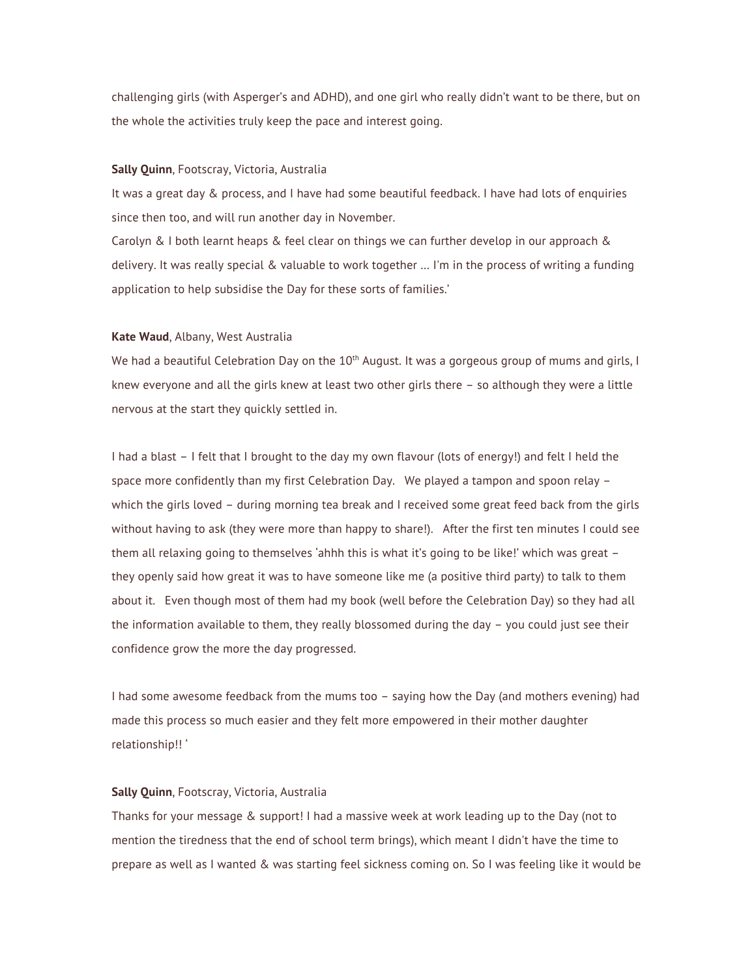challenging girls (with Asperger's and ADHD), and one girl who really didn't want to be there, but on the whole the activities truly keep the pace and interest going.

## **Sally Quinn**, Footscray, Victoria, Australia

It was a great day & process, and I have had some beautiful feedback. I have had lots of enquiries since then too, and will run another day in November.

Carolyn & I both learnt heaps & feel clear on things we can further develop in our approach & delivery. It was really special & valuable to work together … I'm in the process of writing a funding application to help subsidise the Day for these sorts of families.'

#### **Kate Waud**, Albany, West Australia

We had a beautiful Celebration Day on the  $10<sup>th</sup>$  August. It was a gorgeous group of mums and girls, I knew everyone and all the girls knew at least two other girls there – so although they were a little nervous at the start they quickly settled in.

I had a blast – I felt that I brought to the day my own flavour (lots of energy!) and felt I held the space more confidently than my first Celebration Day. We played a tampon and spoon relay – which the girls loved – during morning tea break and I received some great feed back from the girls without having to ask (they were more than happy to share!). After the first ten minutes I could see them all relaxing going to themselves 'ahhh this is what it's going to be like!' which was great they openly said how great it was to have someone like me (a positive third party) to talk to them about it. Even though most of them had my book (well before the Celebration Day) so they had all the information available to them, they really blossomed during the day – you could just see their confidence grow the more the day progressed.

I had some awesome feedback from the mums too – saying how the Day (and mothers evening) had made this process so much easier and they felt more empowered in their mother daughter relationship!! '

# **Sally Quinn**, Footscray, Victoria, Australia

Thanks for your message & support! I had a massive week at work leading up to the Day (not to mention the tiredness that the end of school term brings), which meant I didn't have the time to prepare as well as I wanted & was starting feel sickness coming on. So I was feeling like it would be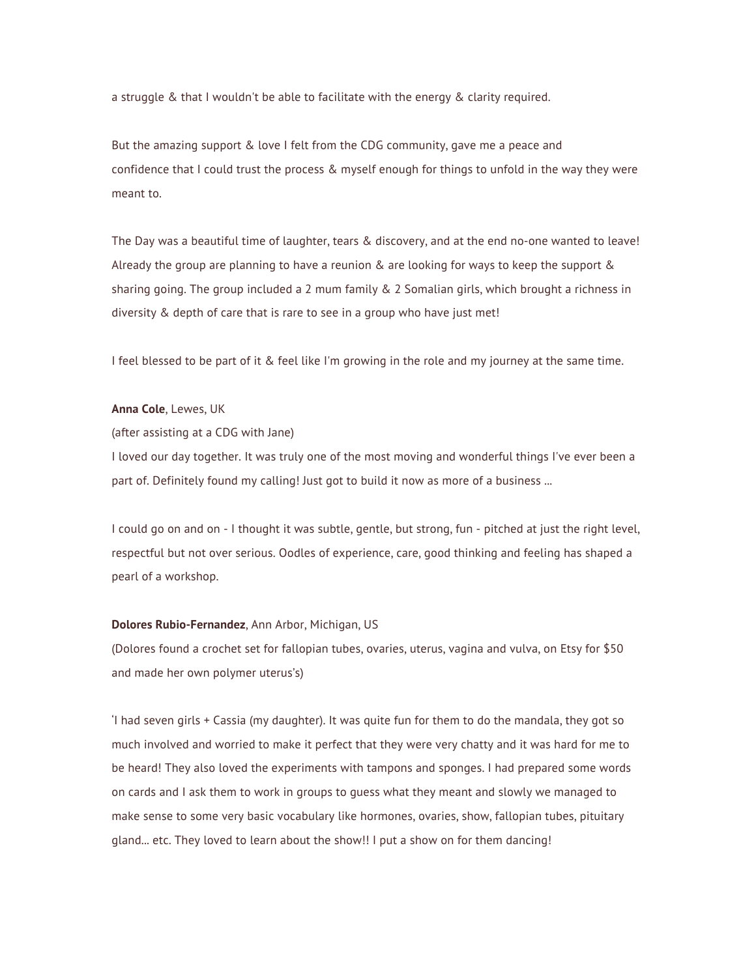a struggle & that I wouldn't be able to facilitate with the energy & clarity required.

But the amazing support & love I felt from the CDG community, gave me a peace and confidence that I could trust the process & myself enough for things to unfold in the way they were meant to.

The Day was a beautiful time of laughter, tears & discovery, and at the end no-one wanted to leave! Already the group are planning to have a reunion & are looking for ways to keep the support & sharing going. The group included a 2 mum family & 2 Somalian girls, which brought a richness in diversity & depth of care that is rare to see in a group who have just met!

I feel blessed to be part of it & feel like I'm growing in the role and my journey at the same time.

# **Anna Cole**, Lewes, UK

(after assisting at a CDG with Jane)

I loved our day together. It was truly one of the most moving and wonderful things I've ever been a part of. Definitely found my calling! Just got to build it now as more of a business ...

I could go on and on - I thought it was subtle, gentle, but strong, fun - pitched at just the right level, respectful but not over serious. Oodles of experience, care, good thinking and feeling has shaped a pearl of a workshop.

## **Dolores Rubio-Fernandez**, Ann Arbor, Michigan, US

(Dolores found a crochet set for fallopian tubes, ovaries, uterus, vagina and vulva, on Etsy for \$50 and made her own polymer uterus's)

'I had seven girls + Cassia (my daughter). It was quite fun for them to do the mandala, they got so much involved and worried to make it perfect that they were very chatty and it was hard for me to be heard! They also loved the experiments with tampons and sponges. I had prepared some words on cards and I ask them to work in groups to guess what they meant and slowly we managed to make sense to some very basic vocabulary like hormones, ovaries, show, fallopian tubes, pituitary gland... etc. They loved to learn about the show!! I put a show on for them dancing!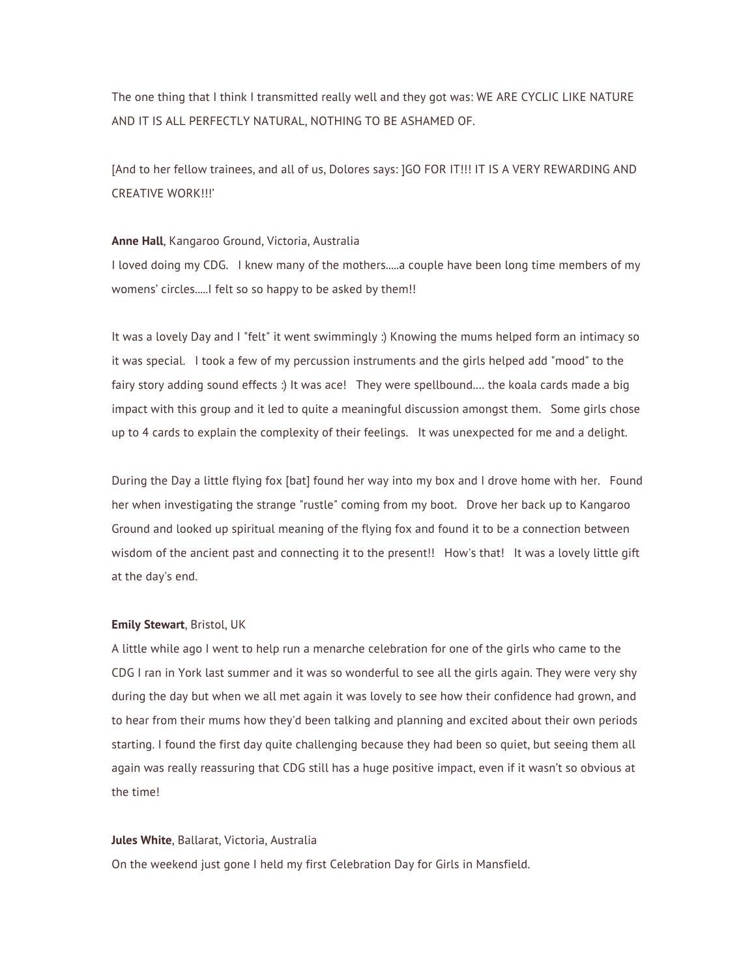The one thing that I think I transmitted really well and they got was: WE ARE CYCLIC LIKE NATURE AND IT IS ALL PERFECTLY NATURAL, NOTHING TO BE ASHAMED OF.

[And to her fellow trainees, and all of us, Dolores says: ]GO FOR IT!!! IT IS A VERY REWARDING AND CREATIVE WORK!!!'

#### **Anne Hall**, Kangaroo Ground, Victoria, Australia

I loved doing my CDG. I knew many of the mothers.....a couple have been long time members of my womens' circles.....I felt so so happy to be asked by them!!

It was a lovely Day and I "felt" it went swimmingly :) Knowing the mums helped form an intimacy so it was special. I took a few of my percussion instruments and the girls helped add "mood" to the fairy story adding sound effects :) It was ace! They were spellbound.… the koala cards made a big impact with this group and it led to quite a meaningful discussion amongst them. Some girls chose up to 4 cards to explain the complexity of their feelings. It was unexpected for me and a delight.

During the Day a little flying fox [bat] found her way into my box and I drove home with her. Found her when investigating the strange "rustle" coming from my boot. Drove her back up to Kangaroo Ground and looked up spiritual meaning of the flying fox and found it to be a connection between wisdom of the ancient past and connecting it to the present!! How's that! It was a lovely little gift at the day's end.

#### **Emily Stewart**, Bristol, UK

A little while ago I went to help run a menarche celebration for one of the girls who came to the CDG I ran in York last summer and it was so wonderful to see all the girls again. They were very shy during the day but when we all met again it was lovely to see how their confidence had grown, and to hear from their mums how they'd been talking and planning and excited about their own periods starting. I found the first day quite challenging because they had been so quiet, but seeing them all again was really reassuring that CDG still has a huge positive impact, even if it wasn't so obvious at the time!

## **Jules White**, Ballarat, Victoria, Australia

On the weekend just gone I held my first Celebration Day for Girls in Mansfield.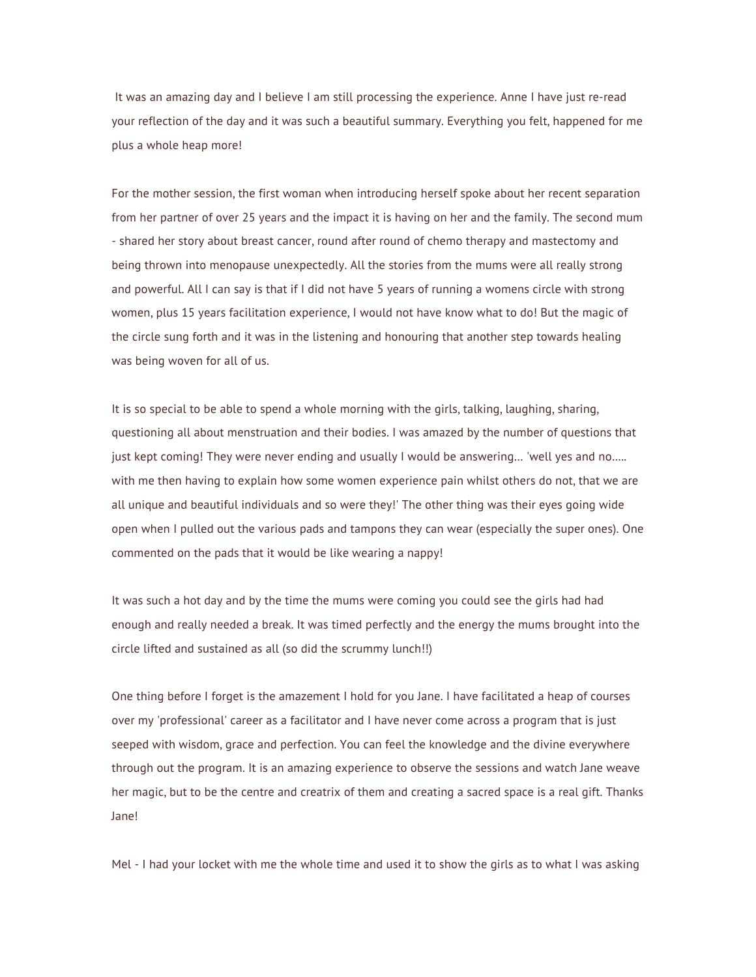It was an amazing day and I believe I am still processing the experience. Anne I have just re-read your reflection of the day and it was such a beautiful summary. Everything you felt, happened for me plus a whole heap more!

For the mother session, the first woman when introducing herself spoke about her recent separation from her partner of over 25 years and the impact it is having on her and the family. The second mum - shared her story about breast cancer, round after round of chemo therapy and mastectomy and being thrown into menopause unexpectedly. All the stories from the mums were all really strong and powerful. All I can say is that if I did not have 5 years of running a womens circle with strong women, plus 15 years facilitation experience, I would not have know what to do! But the magic of the circle sung forth and it was in the listening and honouring that another step towards healing was being woven for all of us.

It is so special to be able to spend a whole morning with the girls, talking, laughing, sharing, questioning all about menstruation and their bodies. I was amazed by the number of questions that just kept coming! They were never ending and usually I would be answering… 'well yes and no….. with me then having to explain how some women experience pain whilst others do not, that we are all unique and beautiful individuals and so were they!' The other thing was their eyes going wide open when I pulled out the various pads and tampons they can wear (especially the super ones). One commented on the pads that it would be like wearing a nappy!

It was such a hot day and by the time the mums were coming you could see the girls had had enough and really needed a break. It was timed perfectly and the energy the mums brought into the circle lifted and sustained as all (so did the scrummy lunch!!)

One thing before I forget is the amazement I hold for you Jane. I have facilitated a heap of courses over my 'professional' career as a facilitator and I have never come across a program that is just seeped with wisdom, grace and perfection. You can feel the knowledge and the divine everywhere through out the program. It is an amazing experience to observe the sessions and watch Jane weave her magic, but to be the centre and creatrix of them and creating a sacred space is a real gift. Thanks Jane!

Mel - I had your locket with me the whole time and used it to show the girls as to what I was asking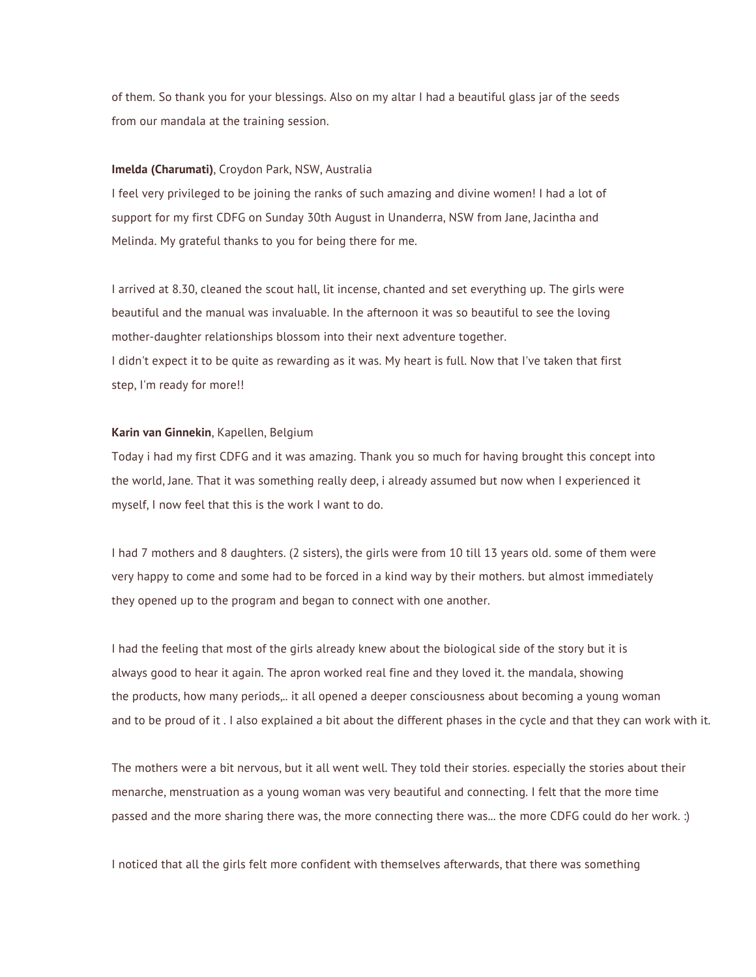of them. So thank you for your blessings. Also on my altar I had a beautiful glass jar of the seeds from our mandala at the training session.

# **Imelda (Charumati)**, Croydon Park, NSW, Australia

I feel very privileged to be joining the ranks of such amazing and divine women! I had a lot of support for my first CDFG on Sunday 30th August in Unanderra, NSW from Jane, Jacintha and Melinda. My grateful thanks to you for being there for me.

I arrived at 8.30, cleaned the scout hall, lit incense, chanted and set everything up. The girls were beautiful and the manual was invaluable. In the afternoon it was so beautiful to see the loving mother-daughter relationships blossom into their next adventure together. I didn't expect it to be quite as rewarding as it was. My heart is full. Now that I've taken that first step, I'm ready for more!!

### **Karin van Ginnekin**, Kapellen, Belgium

Today i had my first CDFG and it was amazing. Thank you so much for having brought this concept into the world, Jane. That it was something really deep, i already assumed but now when I experienced it myself, I now feel that this is the work I want to do.

I had 7 mothers and 8 daughters. (2 sisters), the girls were from 10 till 13 years old. some of them were very happy to come and some had to be forced in a kind way by their mothers. but almost immediately they opened up to the program and began to connect with one another.

I had the feeling that most of the girls already knew about the biological side of the story but it is always good to hear it again. The apron worked real fine and they loved it. the mandala, showing the products, how many periods,.. it all opened a deeper consciousness about becoming a young woman and to be proud of it . I also explained a bit about the different phases in the cycle and that they can work with it.

The mothers were a bit nervous, but it all went well. They told their stories. especially the stories about their menarche, menstruation as a young woman was very beautiful and connecting. I felt that the more time passed and the more sharing there was, the more connecting there was... the more CDFG could do her work. :)

I noticed that all the girls felt more confident with themselves afterwards, that there was something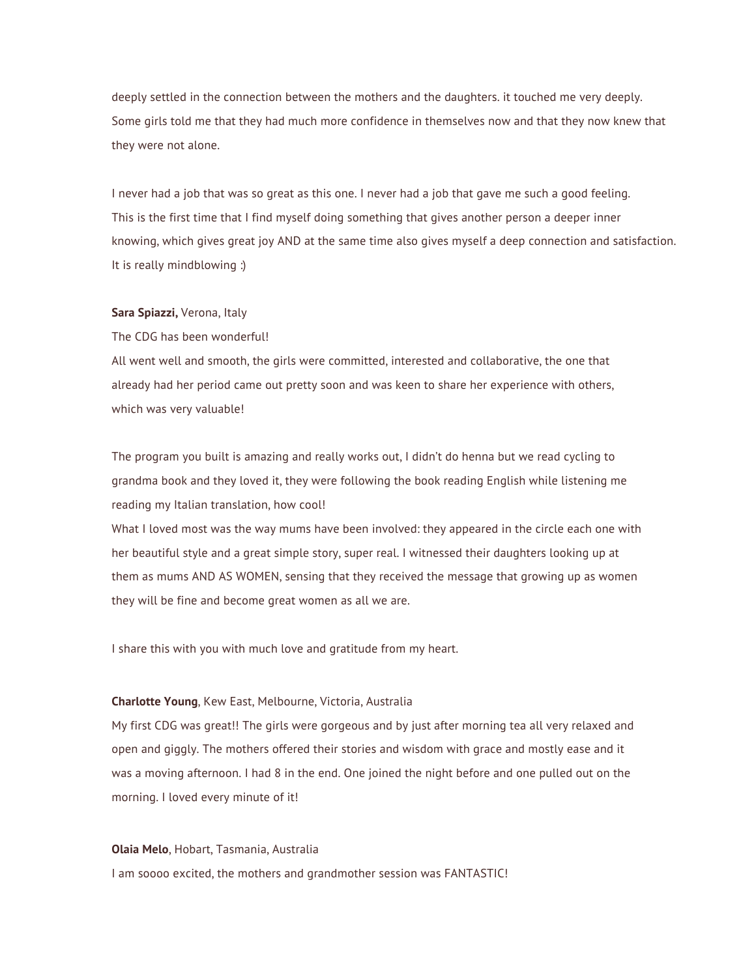deeply settled in the connection between the mothers and the daughters. it touched me very deeply. Some girls told me that they had much more confidence in themselves now and that they now knew that they were not alone.

I never had a job that was so great as this one. I never had a job that gave me such a good feeling. This is the first time that I find myself doing something that gives another person a deeper inner knowing, which gives great joy AND at the same time also gives myself a deep connection and satisfaction. It is really mindblowing :)

# **Sara Spiazzi,** Verona, Italy

The CDG has been wonderful!

All went well and smooth, the girls were committed, interested and collaborative, the one that already had her period came out pretty soon and was keen to share her experience with others, which was very valuable!

The program you built is amazing and really works out, I didn't do henna but we read cycling to grandma book and they loved it, they were following the book reading English while listening me reading my Italian translation, how cool!

What I loved most was the way mums have been involved: they appeared in the circle each one with her beautiful style and a great simple story, super real. I witnessed their daughters looking up at them as mums AND AS WOMEN, sensing that they received the message that growing up as women they will be fine and become great women as all we are.

I share this with you with much love and gratitude from my heart.

## **Charlotte Young**, Kew East, Melbourne, Victoria, Australia

My first CDG was great!! The girls were gorgeous and by just after morning tea all very relaxed and open and giggly. The mothers offered their stories and wisdom with grace and mostly ease and it was a moving afternoon. I had 8 in the end. One joined the night before and one pulled out on the morning. I loved every minute of it!

#### **Olaia Melo**, Hobart, Tasmania, Australia

I am soooo excited, the mothers and grandmother session was FANTASTIC!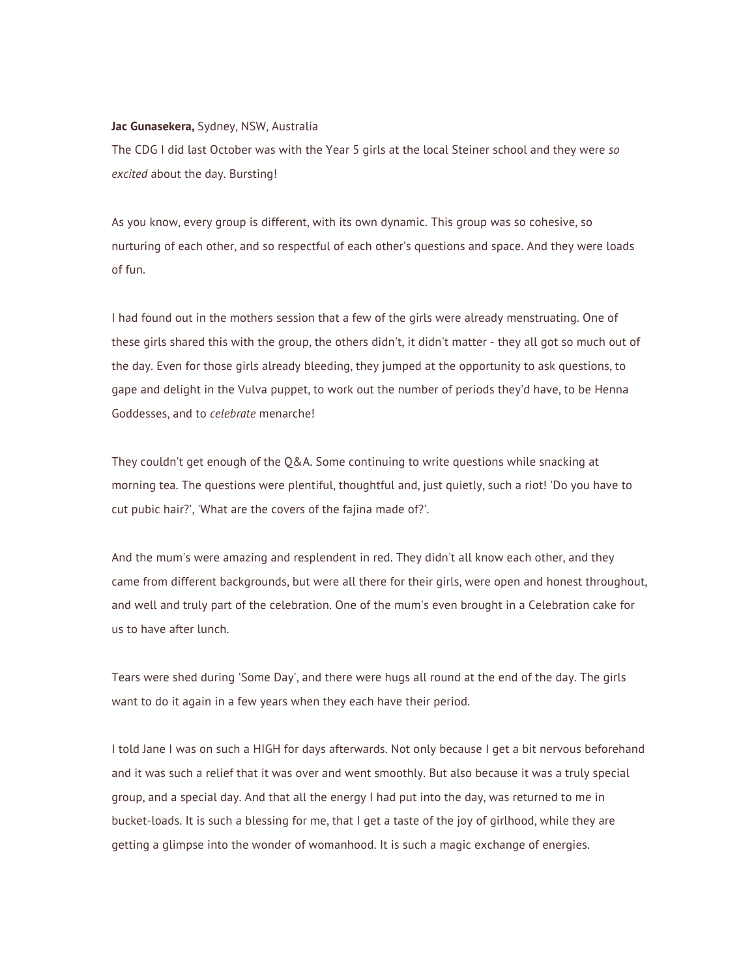#### **Jac Gunasekera,** Sydney, NSW, Australia

The CDG I did last October was with the Year 5 girls at the local Steiner school and they were *so excited* about the day. Bursting!

As you know, every group is different, with its own dynamic. This group was so cohesive, so nurturing of each other, and so respectful of each other's questions and space. And they were loads of fun.

I had found out in the mothers session that a few of the girls were already menstruating. One of these girls shared this with the group, the others didn't, it didn't matter - they all got so much out of the day. Even for those girls already bleeding, they jumped at the opportunity to ask questions, to gape and delight in the Vulva puppet, to work out the number of periods they'd have, to be Henna Goddesses, and to *celebrate* menarche!

They couldn't get enough of the Q&A. Some continuing to write questions while snacking at morning tea. The questions were plentiful, thoughtful and, just quietly, such a riot! 'Do you have to cut pubic hair?', 'What are the covers of the fajina made of?'.

And the mum's were amazing and resplendent in red. They didn't all know each other, and they came from different backgrounds, but were all there for their girls, were open and honest throughout, and well and truly part of the celebration. One of the mum's even brought in a Celebration cake for us to have after lunch.

Tears were shed during 'Some Day', and there were hugs all round at the end of the day. The girls want to do it again in a few years when they each have their period.

I told Jane I was on such a HIGH for days afterwards. Not only because I get a bit nervous beforehand and it was such a relief that it was over and went smoothly. But also because it was a truly special group, and a special day. And that all the energy I had put into the day, was returned to me in bucket-loads. It is such a blessing for me, that I get a taste of the joy of girlhood, while they are getting a glimpse into the wonder of womanhood. It is such a magic exchange of energies.